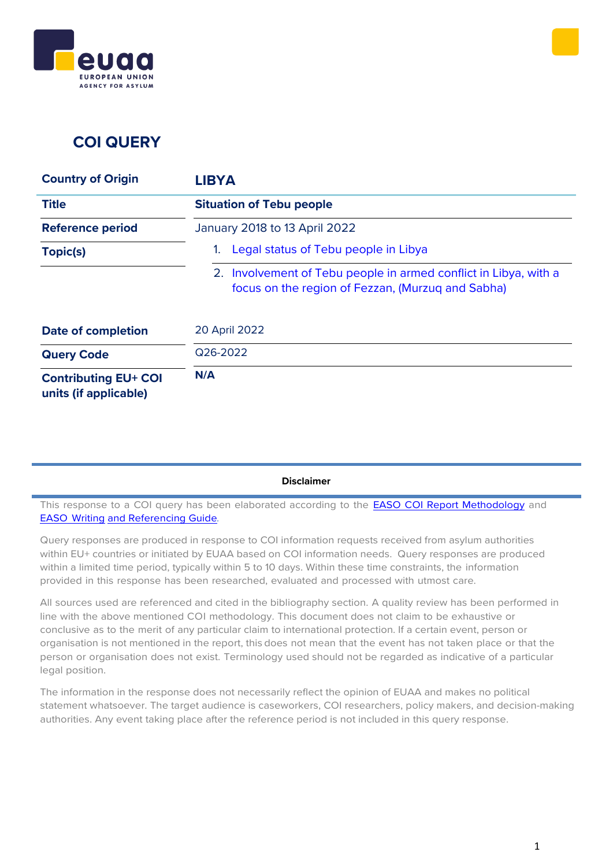



### **COI QUERY**

| <b>Country of Origin</b>                             | <b>LIBYA</b>                                                                                                          |
|------------------------------------------------------|-----------------------------------------------------------------------------------------------------------------------|
| <b>Title</b>                                         | <b>Situation of Tebu people</b>                                                                                       |
| <b>Reference period</b>                              | January 2018 to 13 April 2022                                                                                         |
| Topic(s)                                             | Legal status of Tebu people in Libya                                                                                  |
|                                                      | 2. Involvement of Tebu people in armed conflict in Libya, with a<br>focus on the region of Fezzan, (Murzug and Sabha) |
| <b>Date of completion</b>                            | 20 April 2022                                                                                                         |
| <b>Query Code</b>                                    | Q26-2022                                                                                                              |
| <b>Contributing EU+ COI</b><br>units (if applicable) | N/A                                                                                                                   |

#### **Disclaimer**

This response to a COI query has been elaborated according to the **EASO COI Report [Methodology](https://coi.easo.europa.eu/administration/easo/PLib/2019_EASO_COI_Report_Methodology.pdf)** and EASO [Writing](https://coi.easo.europa.eu/administration/easo/PLib/2019_EASO_COI_Writing_and_Referencing_Guide.pdf) and [Referencing](https://coi.easo.europa.eu/administration/easo/PLib/2019_EASO_COI_Writing_and_Referencing_Guide.pdf) Guide*.*

Query responses are produced in response to COI information requests received from asylum authorities within EU+ countries or initiated by EUAA based on COI information needs. Query responses are produced within a limited time period, typically within 5 to 10 days. Within these time constraints, the information provided in this response has been researched, evaluated and processed with utmost care.

All sources used are referenced and cited in the bibliography section. A quality review has been performed in line with the above mentioned COI methodology. This document does not claim to be exhaustive or conclusive as to the merit of any particular claim to international protection. If a certain event, person or organisation is not mentioned in the report, this does not mean that the event has not taken place or that the person or organisation does not exist. Terminology used should not be regarded as indicative of a particular legal position.

The information in the response does not necessarily reflect the opinion of EUAA and makes no political statement whatsoever. The target audience is caseworkers, COI researchers, policy makers, and decision-making authorities. Any event taking place after the reference period is not included in this query response.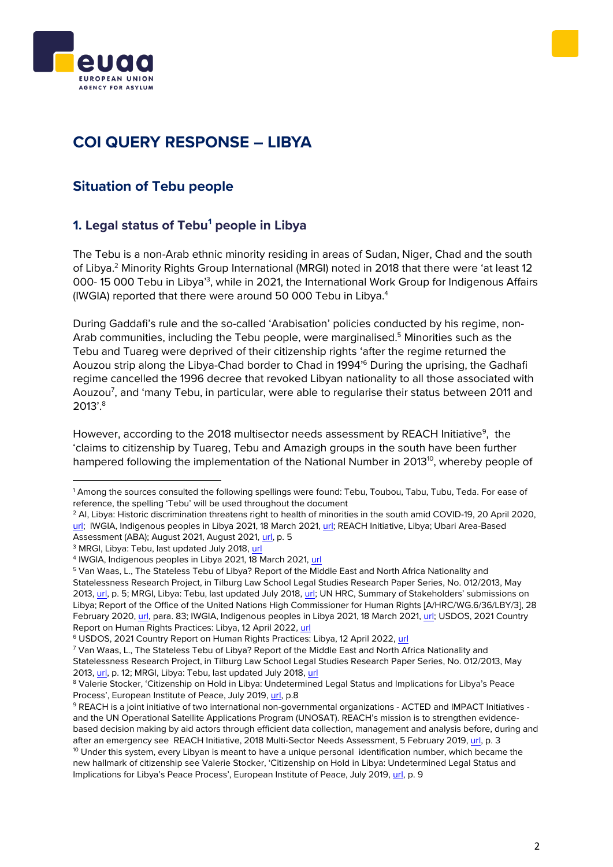



# **COI QUERY RESPONSE – LIBYA**

### **Situation of Tebu people**

#### <span id="page-1-0"></span>**1. Legal status of Tebu<sup>1</sup> people in Libya**

The Tebu is a non-Arab ethnic minority residing in areas of Sudan, Niger, Chad and the south of Libya.<sup>2</sup> Minority Rights Group International (MRGI) noted in 2018 that there were 'at least 12 000-15 000 Tebu in Libya'<sup>3</sup>, while in 2021, the International Work Group for Indigenous Affairs (IWGIA) reported that there were around 50 000 Tebu in Libya.<sup>4</sup>

During Gaddafi's rule and the so-called 'Arabisation' policies conducted by his regime, non-Arab communities, including the Tebu people, were marginalised. <sup>5</sup> Minorities such as the Tebu and Tuareg were deprived of their citizenship rights 'after the regime returned the Aouzou strip along the Libya-Chad border to Chad in 1994'<sup>6</sup> During the uprising, the Gadhafi regime cancelled the 1996 decree that revoked Libyan nationality to all those associated with Aouzou<sup>7</sup>, and 'many Tebu, in particular, were able to regularise their status between 2011 and 2013'.<sup>8</sup>

However, according to the 2018 multisector needs assessment by REACH Initiative<sup>9</sup>, the 'claims to citizenship by Tuareg, Tebu and Amazigh groups in the south have been further hampered following the implementation of the National Number in 2013<sup>10</sup>, whereby people of

<sup>1</sup> Among the sources consulted the following spellings were found: Tebu, Toubou, Tabu, Tubu, Teda. For ease of reference, the spelling 'Tebu' will be used throughout the document

<sup>&</sup>lt;sup>2</sup> Al, Libya: Historic discrimination threatens right to health of minorities in the south amid COVID-19, 20 April 2020, [url;](https://www.amnesty.org/en/latest/news/2020/04/libya-historic-discrimination-threatens-right-to-health-of-minorities-in-the-south-amid-covid19/) IWGIA, Indigenous peoples in Libya 2021, 18 March 2021, [url;](https://iwgia.org/en/libya/4230-iw-2021-libya.html#_ftn5) REACH Initiative, Libya; Ubari Area-Based Assessment (ABA); August 2021, August 2021[, url,](https://www.impact-repository.org/document/reach/484f3549/REACH_LBY_Report_ABA-Ubari_August-2021_EN.pdf) p. 5

<sup>&</sup>lt;sup>3</sup> MRGI, Libya: Tebu, last updated July 2018[, url](https://minorityrights.org/minorities/tebu/)

<sup>&</sup>lt;sup>4</sup> IWGIA, Indigenous peoples in Libya 2021, 18 March 2021, <mark>url</mark>

<sup>5</sup> Van Waas, L., The Stateless Tebu of Libya? Report of the Middle East and North Africa Nationality and Statelessness Research Project, in Tilburg Law School Legal Studies Research Paper Series, No. 012/2013, May 2013, [url,](https://deliverypdf.ssrn.com/delivery.php?ID=145065017119118025101127020072010027008078002074040050125080065031026030111065012099043027042032027032054068121016008003029127040087059020045092093100005075007076018007075006068069088024112122113124070126119019111124006079122124102069119021101008007&EXT=pdf&INDEX=TRUE) p. 5; MRGI, Libya: Tebu, last updated July 2018, [url;](https://minorityrights.org/minorities/tebu/) UN HRC, Summary of Stakeholders' submissions on Libya; Report of the Office of the United Nations High Commissioner for Human Rights [A/HRC/WG.6/36/LBY/3], 28 February 2020[, url,](https://digitallibrary.un.org/record/3863476) para. 83; IWGIA, Indigenous peoples in Libya 2021, 18 March 2021[, url;](https://iwgia.org/en/libya/4230-iw-2021-libya.html#_ftn5) USDOS, 2021 Country Report on Human Rights Practices: Libya, 12 April 2022, [url](https://www.state.gov/reports/2021-country-reports-on-human-rights-practices/libya)

<sup>&</sup>lt;sup>6</sup> USDOS, 2021 Country Report on Human Rights Practices: Libya, 12 April 2022, [url](https://www.state.gov/reports/2021-country-reports-on-human-rights-practices/libya)

<sup>7</sup> Van Waas, L., The Stateless Tebu of Libya? Report of the Middle East and North Africa Nationality and Statelessness Research Project, in Tilburg Law School Legal Studies Research Paper Series, No. 012/2013, May 2013, [url,](https://deliverypdf.ssrn.com/delivery.php?ID=145065017119118025101127020072010027008078002074040050125080065031026030111065012099043027042032027032054068121016008003029127040087059020045092093100005075007076018007075006068069088024112122113124070126119019111124006079122124102069119021101008007&EXT=pdf&INDEX=TRUE) p. 12; MRGI, Libya: Tebu, last updated July 2018, [url](https://minorityrights.org/minorities/tebu/)

<sup>8</sup> Valerie Stocker, 'Citizenship on Hold in Libya: Undetermined Legal Status and Implications for Libya's Peace Process', European Institute of Peace, July 2019, [url,](http://www.eip.org/wp-content/uploads/2020/06/Citizenship-on-hold-EIP-policy-paper-July-2019.pdf) p.8

<sup>9</sup> REACH is a joint initiative of two international non-governmental organizations - ACTED and IMPACT Initiatives and the UN Operational Satellite Applications Program (UNOSAT). REACH's mission is to strengthen evidencebased decision making by aid actors through efficient data collection, management and analysis before, during and after an emergency see REACH Initiative, 2018 Multi-Sector Needs Assessment, 5 February 2019, [url,](https://reliefweb.int/sites/reliefweb.int/files/resources/reach_lby_report_msna_february_2019_0.pdf) p. 3  $10$  Under this system, every Libyan is meant to have a unique personal identification number, which became the new hallmark of citizenship see Valerie Stocker, 'Citizenship on Hold in Libya: Undetermined Legal Status and Implications for Libya's Peace Process', European Institute of Peace, July 2019, [url,](http://www.eip.org/wp-content/uploads/2020/06/Citizenship-on-hold-EIP-policy-paper-July-2019.pdf) p. 9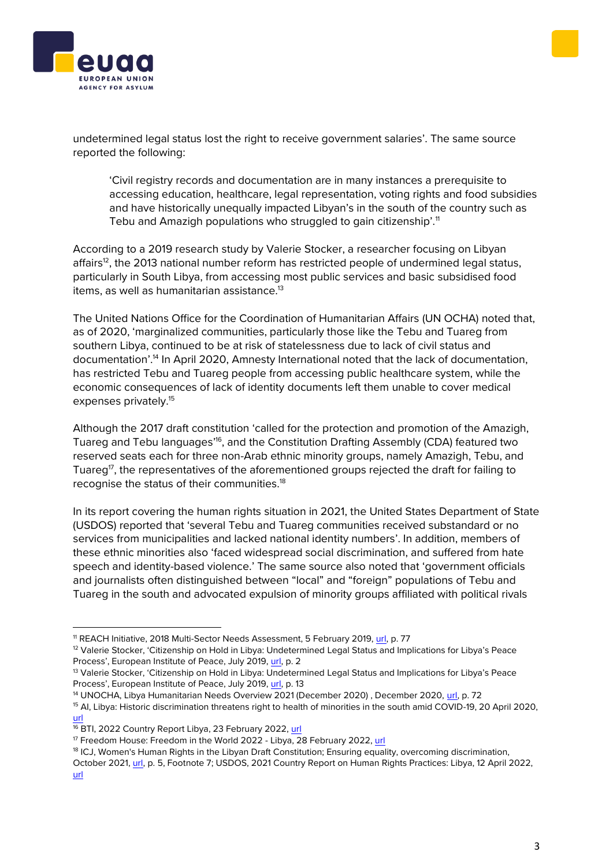



undetermined legal status lost the right to receive government salaries'. The same source reported the following:

'Civil registry records and documentation are in many instances a prerequisite to accessing education, healthcare, legal representation, voting rights and food subsidies and have historically unequally impacted Libyan's in the south of the country such as Tebu and Amazigh populations who struggled to gain citizenship'.<sup>11</sup>

According to a 2019 research study by Valerie Stocker, a researcher focusing on Libyan affairs<sup>12</sup>, the 2013 national number reform has restricted people of undermined legal status, particularly in South Libya, from accessing most public services and basic subsidised food items, as well as humanitarian assistance.<sup>13</sup>

The United Nations Office for the Coordination of Humanitarian Affairs (UN OCHA) noted that, as of 2020, 'marginalized communities, particularly those like the Tebu and Tuareg from southern Libya, continued to be at risk of statelessness due to lack of civil status and documentation'. <sup>14</sup> In April 2020, Amnesty International noted that the lack of documentation, has restricted Tebu and Tuareg people from accessing public healthcare system, while the economic consequences of lack of identity documents left them unable to cover medical expenses privately.<sup>15</sup>

Although the 2017 draft constitution 'called for the protection and promotion of the Amazigh, Tuareg and Tebu languages'<sup>16</sup>, and the Constitution Drafting Assembly (CDA) featured two reserved seats each for three non-Arab ethnic minority groups, namely Amazigh, Tebu, and Tuareg<sup>17</sup>, the representatives of the aforementioned groups rejected the draft for failing to recognise the status of their communities.<sup>18</sup>

In its report covering the human rights situation in 2021, the United States Department of State (USDOS) reported that 'several Tebu and Tuareg communities received substandard or no services from municipalities and lacked national identity numbers'. In addition, members of these ethnic minorities also 'faced widespread social discrimination, and suffered from hate speech and identity-based violence.' The same source also noted that 'government officials and journalists often distinguished between "local" and "foreign" populations of Tebu and Tuareg in the south and advocated expulsion of minority groups affiliated with political rivals

<sup>14</sup> UNOCHA, Libya Humanitarian Needs Overview 2021 (December 2020), December 2020, [url,](https://www.humanitarianresponse.info/sites/www.humanitarianresponse.info/files/documents/files/hno_2021-final.pdf) p. 72

<sup>11</sup> REACH Initiative, 2018 Multi-Sector Needs Assessment, 5 February 2019, [url,](https://reliefweb.int/sites/reliefweb.int/files/resources/reach_lby_report_msna_february_2019_0.pdf) p. 77

<sup>&</sup>lt;sup>12</sup> Valerie Stocker, 'Citizenship on Hold in Libya: Undetermined Legal Status and Implications for Libya's Peace Process', European Institute of Peace, July 2019, [url,](http://www.eip.org/wp-content/uploads/2020/06/Citizenship-on-hold-EIP-policy-paper-July-2019.pdf) p. 2

<sup>&</sup>lt;sup>13</sup> Valerie Stocker, 'Citizenship on Hold in Libya: Undetermined Legal Status and Implications for Libya's Peace Process', European Institute of Peace, July 2019, [url,](http://www.eip.org/wp-content/uploads/2020/06/Citizenship-on-hold-EIP-policy-paper-July-2019.pdf) p. 13

<sup>&</sup>lt;sup>15</sup> Al, Libya: Historic discrimination threatens right to health of minorities in the south amid COVID-19, 20 April 2020, [url](https://www.amnesty.org/en/latest/news/2020/04/libya-historic-discrimination-threatens-right-to-health-of-minorities-in-the-south-amid-covid19/)

<sup>&</sup>lt;sup>16</sup> BTI, 2022 Country Report Libya, 23 February 2022, [url](https://bti-project.org/en/reports/country-report/LBY)

<sup>&</sup>lt;sup>17</sup> Freedom House: Freedom in the World 2022 - Libya, 28 February 2022, [url](https://freedomhouse.org/country/libya/freedom-world/2022)

<sup>&</sup>lt;sup>18</sup> ICJ, Women's Human Rights in the Libyan Draft Constitution: Ensuring equality, overcoming discrimination,

October 2021, [url,](https://www.icj.org/wp-content/uploads/2021/10/Libya-Women-in-Constitution-publications-legal-briefings-2021-ENG.pdf) p. 5, Footnote 7; USDOS, 2021 Country Report on Human Rights Practices: Libya, 12 April 2022, [url](https://www.state.gov/reports/2021-country-reports-on-human-rights-practices/libya)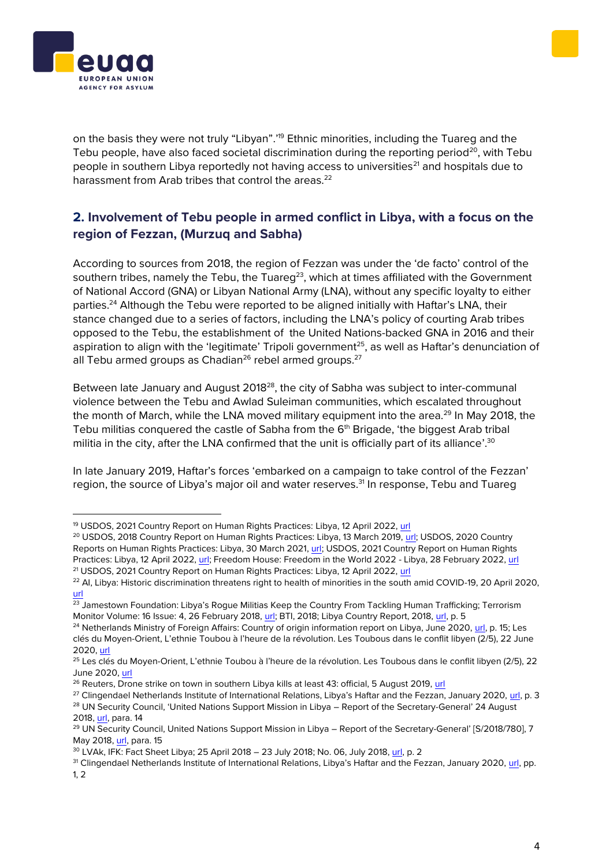



on the basis they were not truly "Libyan".<sup>19</sup> Ethnic minorities, including the Tuareg and the Tebu people, have also faced societal discrimination during the reporting period<sup>20</sup>, with Tebu people in southern Libya reportedly not having access to universities<sup>21</sup> and hospitals due to harassment from Arab tribes that control the areas.<sup>22</sup>

#### <span id="page-3-0"></span>**2. Involvement of Tebu people in armed conflict in Libya, with a focus on the region of Fezzan, (Murzuq and Sabha)**

According to sources from 2018, the region of Fezzan was under the 'de facto' control of the southern tribes, namely the Tebu, the Tuareg<sup>23</sup>, which at times affiliated with the Government of National Accord (GNA) or Libyan National Army (LNA), without any specific loyalty to either parties.<sup>24</sup> Although the Tebu were reported to be aligned initially with Haftar's LNA, their stance changed due to a series of factors, including the LNA's policy of courting Arab tribes opposed to the Tebu, the establishment of the United Nations-backed GNA in 2016 and their aspiration to align with the 'legitimate' Tripoli government<sup>25</sup>, as well as Haftar's denunciation of all Tebu armed groups as Chadian<sup>26</sup> rebel armed groups.<sup>27</sup>

Between late January and August 2018<sup>28</sup>, the city of Sabha was subject to inter-communal violence between the Tebu and Awlad Suleiman communities, which escalated throughout the month of March, while the LNA moved military equipment into the area.<sup>29</sup> In May 2018, the Tebu militias conquered the castle of Sabha from the 6<sup>th</sup> Brigade, 'the biggest Arab tribal militia in the city, after the LNA confirmed that the unit is officially part of its alliance'. $30$ 

In late January 2019, Haftar's forces 'embarked on a campaign to take control of the Fezzan' region, the source of Libya's major oil and water reserves.<sup>31</sup> In response, Tebu and Tuareg

<sup>&</sup>lt;sup>19</sup> USDOS, 2021 Country Report on Human Rights Practices: Libya, 12 April 2022, [url](https://www.state.gov/reports/2021-country-reports-on-human-rights-practices/libya)

<sup>&</sup>lt;sup>20</sup> USDOS, 2018 Country Report on Human Rights Practices: Libya, 13 March 2019, [url;](https://www.state.gov/reports/2018-country-reports-on-human-rights-practices/libya/) USDOS, 2020 Country Reports on Human Rights Practices: Libya, 30 March 2021[, url;](https://www.state.gov/reports/2020-country-reports-on-human-rights-practices/) USDOS, 2021 Country Report on Human Rights Practices: Libya, 12 April 2022, [url;](https://www.state.gov/reports/2021-country-reports-on-human-rights-practices/libya) Freedom House: Freedom in the World 2022 - Libya, 28 February 2022, [url](https://freedomhouse.org/country/libya/freedom-world/2022) <sup>21</sup> USDOS, 2021 Country Report on Human Rights Practices: Libya, 12 April 2022, [url](https://www.state.gov/reports/2021-country-reports-on-human-rights-practices/libya)

<sup>&</sup>lt;sup>22</sup> AI, Libya: Historic discrimination threatens right to health of minorities in the south amid COVID-19, 20 April 2020, [url](https://www.amnesty.org/en/latest/news/2020/04/libya-historic-discrimination-threatens-right-to-health-of-minorities-in-the-south-amid-covid19/)

<sup>&</sup>lt;sup>23</sup> Jamestown Foundation: Libya's Rogue Militias Keep the Country From Tackling Human Trafficking; Terrorism Monitor Volume: 16 Issue: 4, 26 February 2018, [url;](https://jamestown.org/program/libyas-rogue-militias-keep-country-tackling-human-trafficking/) BTI, 2018; Libya Country Report, 2018[, url,](https://bti-project.org/fileadmin/api/content/en/downloads/reports/country_report_2018_LBY.pdf) p. 5

<sup>&</sup>lt;sup>24</sup> Netherlands Ministry of Foreign Affairs: Country of origin information report on Libya, June 2020, [url,](https://www.government.nl/documents/directives/2020/06/30/country-of-origin-information-report-on-libya-june-2020) p. 15; Les clés du Moyen-Orient, L'ethnie Toubou à l'heure de la révolution. Les Toubous dans le conflit libyen (2/5), 22 June 2020, [url](https://www.lesclesdumoyenorient.com/L-ethnie-Toubou-a-l-heure-de-la-revolution-Les-Toubous-dans-le-conflit-libyen-2.html)

<sup>&</sup>lt;sup>25</sup> Les clés du Moyen-Orient, L'ethnie Toubou à l'heure de la révolution. Les Toubous dans le conflit libyen (2/5), 22 June 2020[, url](https://www.lesclesdumoyenorient.com/L-ethnie-Toubou-a-l-heure-de-la-revolution-Les-Toubous-dans-le-conflit-libyen-2.html)

<sup>&</sup>lt;sup>26</sup> Reuters, Drone strike on town in southern Libya kills at least 43: official, 5 August 2019[, url](https://www.reuters.com/article/us-libya-security-idUSKCN1UV144)

<sup>&</sup>lt;sup>27</sup> Clingendael Netherlands Institute of International Relations, Libya's Haftar and the Fezzan, January 2020, [url,](https://www.clingendael.org/sites/default/files/2020-01/Policy_Brief_Libyas_Haftar_and_the_Fezzan_Jan_2020.pdf) p. 3 <sup>28</sup> UN Security Council, 'United Nations Support Mission in Libya – Report of the Secretary-General' 24 August 2018[, url,](https://unsmil.unmissions.org/sites/default/files/sg-report-on-unsmil_s_2018_780_e.pdf) para. 14

<sup>&</sup>lt;sup>29</sup> UN Security Council, United Nations Support Mission in Libya – Report of the Secretary-General' [S/2018/780], 7 May 2018, [url,](https://digitallibrary.un.org/record/1639766) para. 15

<sup>30</sup> LVAk, IFK: Fact Sheet Libya; 25 April 2018 – 23 July 2018; No. 06, July 2018, [url,](https://www.bundesheer.at/pdf_pool/publikationen/fact_sheet_lby_06_engl.pdf) p. 2

<sup>&</sup>lt;sup>31</sup> Clingendael Netherlands Institute of International Relations, Libya's Haftar and the Fezzan, January 2020, [url,](https://www.clingendael.org/sites/default/files/2020-01/Policy_Brief_Libyas_Haftar_and_the_Fezzan_Jan_2020.pdf) pp. 1, 2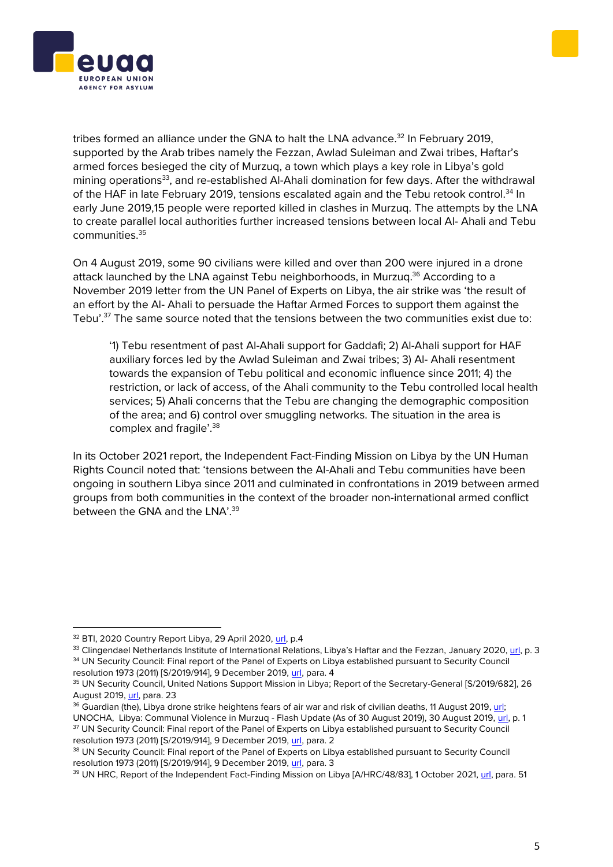



tribes formed an alliance under the GNA to halt the LNA advance.<sup>32</sup> In February 2019, supported by the Arab tribes namely the Fezzan, Awlad Suleiman and Zwai tribes, Haftar's armed forces besieged the city of Murzuq, a town which plays a key role in Libya's gold mining operations<sup>33</sup>, and re-established Al-Ahali domination for few days. After the withdrawal of the HAF in late February 2019, tensions escalated again and the Tebu retook control.<sup>34</sup> In early June 2019,15 people were reported killed in clashes in Murzuq. The attempts by the LNA to create parallel local authorities further increased tensions between local Al- Ahali and Tebu communities.<sup>35</sup>

On 4 August 2019, some 90 civilians were killed and over than 200 were injured in a drone attack launched by the LNA against Tebu neighborhoods, in Murzug.<sup>36</sup> According to a November 2019 letter from the UN Panel of Experts on Libya, the air strike was 'the result of an effort by the Al- Ahali to persuade the Haftar Armed Forces to support them against the Tebu'.<sup>37</sup> The same source noted that the tensions between the two communities exist due to:

'1) Tebu resentment of past Al-Ahali support for Gaddafi; 2) Al-Ahali support for HAF auxiliary forces led by the Awlad Suleiman and Zwai tribes; 3) Al- Ahali resentment towards the expansion of Tebu political and economic influence since 2011; 4) the restriction, or lack of access, of the Ahali community to the Tebu controlled local health services; 5) Ahali concerns that the Tebu are changing the demographic composition of the area; and 6) control over smuggling networks. The situation in the area is complex and fragile'.<sup>38</sup>

In its October 2021 report, the Independent Fact-Finding Mission on Libya by the UN Human Rights Council noted that: 'tensions between the Al-Ahali and Tebu communities have been ongoing in southern Libya since 2011 and culminated in confrontations in 2019 between armed groups from both communities in the context of the broader non-international armed conflict between the GNA and the LNA'.<sup>39</sup>

<sup>&</sup>lt;sup>32</sup> BTI, 2020 Country Report Libya, 29 April 2020, [url,](https://bti-project.org/fileadmin/api/content/en/downloads/reports/country_report_2020_LBY.pdf) p.4

<sup>33</sup> Clingendael Netherlands Institute of International Relations, Libya's Haftar and the Fezzan, January 2020[, url,](https://www.clingendael.org/sites/default/files/2020-01/Policy_Brief_Libyas_Haftar_and_the_Fezzan_Jan_2020.pdf) p. 3 <sup>34</sup> UN Security Council: Final report of the Panel of Experts on Libya established pursuant to Security Council

resolution 1973 (2011) [S/2019/914], 9 December 2019, [url,](https://digitallibrary.un.org/record/3838591) para. 4

<sup>35</sup> UN Security Council, United Nations Support Mission in Libya; Report of the Secretary-General [S/2019/682], 26 August 2019[, url,](file:///C:/Users/anastdo/Desktop/S/2019/682) para. 23

<sup>&</sup>lt;sup>36</sup> Guardian (the), Libya drone strike heightens fears of air war and risk of civilian deaths, 11 August 2019, url; UNOCHA, Libya: Communal Violence in Murzuq - Flash Update (As of 30 August 2019), 30 August 2019[, url,](https://reliefweb.int/sites/reliefweb.int/files/resources/20190830_Murzuq%20Flash%20Update%20FINAL.pdf) p. 1

<sup>&</sup>lt;sup>37</sup> UN Security Council: Final report of the Panel of Experts on Libya established pursuant to Security Council resolution 1973 (2011) [S/2019/914], 9 December 2019, [url,](https://digitallibrary.un.org/record/3838591) para. 2

<sup>&</sup>lt;sup>38</sup> UN Security Council: Final report of the Panel of Experts on Libya established pursuant to Security Council resolution 1973 (2011) [S/2019/914], 9 December 2019, [url,](https://digitallibrary.un.org/record/3838591) para. 3

<sup>&</sup>lt;sup>39</sup> UN HRC, Report of the Independent Fact-Finding Mission on Libya [A/HRC/48/83], 1 October 2021, [url,](https://reliefweb.int/sites/reliefweb.int/files/resources/A-HRC-48-83-AUV-EN.pdf) para. 51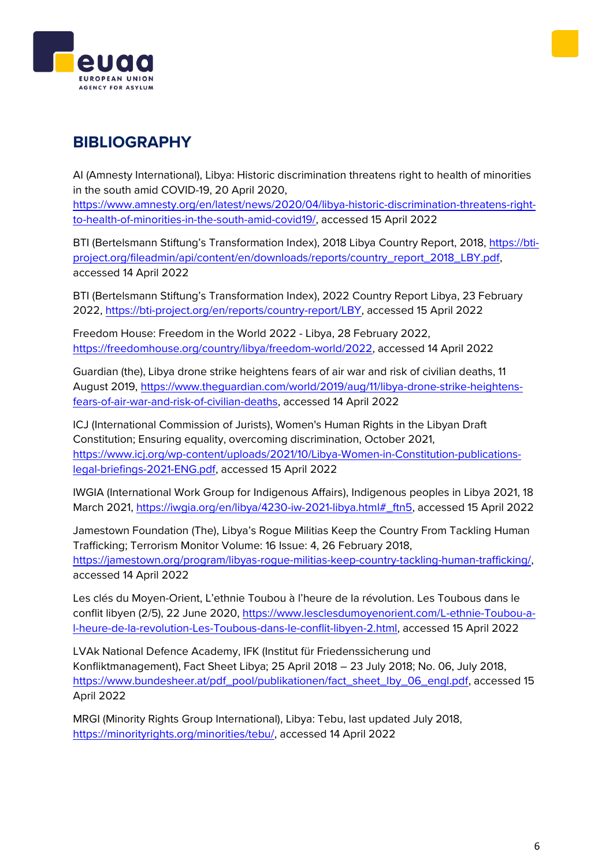



## **BIBLIOGRAPHY**

AI (Amnesty International), Libya: Historic discrimination threatens right to health of minorities in the south amid COVID-19, 20 April 2020,

[https://www.amnesty.org/en/latest/news/2020/04/libya-historic-discrimination-threatens-right](https://www.amnesty.org/en/latest/news/2020/04/libya-historic-discrimination-threatens-right-to-health-of-minorities-in-the-south-amid-covid19/)[to-health-of-minorities-in-the-south-amid-covid19/,](https://www.amnesty.org/en/latest/news/2020/04/libya-historic-discrimination-threatens-right-to-health-of-minorities-in-the-south-amid-covid19/) accessed 15 April 2022

BTI (Bertelsmann Stiftung's Transformation Index), 2018 Libya Country Report, 2018, [https://bti](https://bti-project.org/fileadmin/api/content/en/downloads/reports/country_report_2018_LBY.pdf)[project.org/fileadmin/api/content/en/downloads/reports/country\\_report\\_2018\\_LBY.pdf,](https://bti-project.org/fileadmin/api/content/en/downloads/reports/country_report_2018_LBY.pdf) accessed 14 April 2022

BTI (Bertelsmann Stiftung's Transformation Index), 2022 Country Report Libya, 23 February 2022, [https://bti-project.org/en/reports/country-report/LBY,](https://bti-project.org/en/reports/country-report/LBY) accessed 15 April 2022

Freedom House: Freedom in the World 2022 - Libya, 28 February 2022, [https://freedomhouse.org/country/libya/freedom-world/2022,](https://freedomhouse.org/country/libya/freedom-world/2022) accessed 14 April 2022

Guardian (the), Libya drone strike heightens fears of air war and risk of civilian deaths, 11 August 2019, [https://www.theguardian.com/world/2019/aug/11/libya-drone-strike-heightens](https://www.theguardian.com/world/2019/aug/11/libya-drone-strike-heightens-fears-of-air-war-and-risk-of-civilian-deaths)[fears-of-air-war-and-risk-of-civilian-deaths,](https://www.theguardian.com/world/2019/aug/11/libya-drone-strike-heightens-fears-of-air-war-and-risk-of-civilian-deaths) accessed 14 April 2022

ICJ (International Commission of Jurists), Women's Human Rights in the Libyan Draft Constitution; Ensuring equality, overcoming discrimination, October 2021, [https://www.icj.org/wp-content/uploads/2021/10/Libya-Women-in-Constitution-publications](https://www.icj.org/wp-content/uploads/2021/10/Libya-Women-in-Constitution-publications-legal-briefings-2021-ENG.pdf)[legal-briefings-2021-ENG.pdf,](https://www.icj.org/wp-content/uploads/2021/10/Libya-Women-in-Constitution-publications-legal-briefings-2021-ENG.pdf) accessed 15 April 2022

IWGIA (International Work Group for Indigenous Affairs), Indigenous peoples in Libya 2021, 18 March 2021, [https://iwgia.org/en/libya/4230-iw-2021-libya.html#\\_ftn5,](https://iwgia.org/en/libya/4230-iw-2021-libya.html#_ftn5) accessed 15 April 2022

Jamestown Foundation (The), Libya's Rogue Militias Keep the Country From Tackling Human Trafficking; Terrorism Monitor Volume: 16 Issue: 4, 26 February 2018, [https://jamestown.org/program/libyas-rogue-militias-keep-country-tackling-human-trafficking/,](https://jamestown.org/program/libyas-rogue-militias-keep-country-tackling-human-trafficking/) accessed 14 April 2022

Les clés du Moyen-Orient, L'ethnie Toubou à l'heure de la révolution. Les Toubous dans le conflit libyen (2/5), 22 June 2020, [https://www.lesclesdumoyenorient.com/L-ethnie-Toubou-a](https://www.lesclesdumoyenorient.com/L-ethnie-Toubou-a-l-heure-de-la-revolution-Les-Toubous-dans-le-conflit-libyen-2.html)[l-heure-de-la-revolution-Les-Toubous-dans-le-conflit-libyen-2.html,](https://www.lesclesdumoyenorient.com/L-ethnie-Toubou-a-l-heure-de-la-revolution-Les-Toubous-dans-le-conflit-libyen-2.html) accessed 15 April 2022

LVAk National Defence Academy, IFK (Institut für Friedenssicherung und Konfliktmanagement), Fact Sheet Libya; 25 April 2018 – 23 July 2018; No. 06, July 2018, [https://www.bundesheer.at/pdf\\_pool/publikationen/fact\\_sheet\\_lby\\_06\\_engl.pdf,](https://www.bundesheer.at/pdf_pool/publikationen/fact_sheet_lby_06_engl.pdf) accessed 15 April 2022

MRGI (Minority Rights Group International), Libya: Tebu, last updated July 2018, [https://minorityrights.org/minorities/tebu/,](https://minorityrights.org/minorities/tebu/) accessed 14 April 2022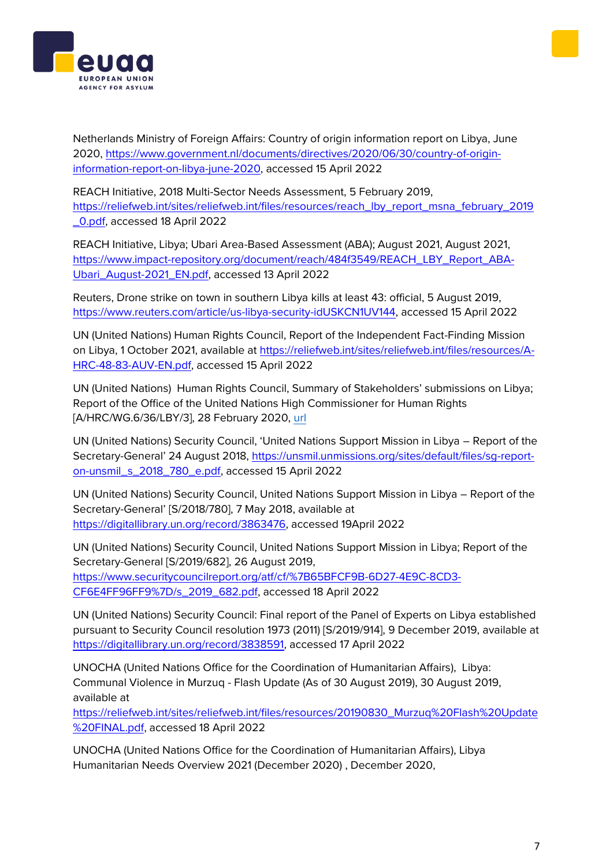Netherlands Ministry of Foreign Affairs: Country of origin information report on Libya, June 2020, [https://www.government.nl/documents/directives/2020/06/30/country-of-origin](https://www.government.nl/documents/directives/2020/06/30/country-of-origin-information-report-on-libya-june-2020)[information-report-on-libya-june-2020,](https://www.government.nl/documents/directives/2020/06/30/country-of-origin-information-report-on-libya-june-2020) accessed 15 April 2022

REACH Initiative, 2018 Multi-Sector Needs Assessment, 5 February 2019, [https://reliefweb.int/sites/reliefweb.int/files/resources/reach\\_lby\\_report\\_msna\\_february\\_2019](https://reliefweb.int/sites/reliefweb.int/files/resources/reach_lby_report_msna_february_2019_0.pdf) [\\_0.pdf,](https://reliefweb.int/sites/reliefweb.int/files/resources/reach_lby_report_msna_february_2019_0.pdf) accessed 18 April 2022

REACH Initiative, Libya; Ubari Area-Based Assessment (ABA); August 2021, August 2021, [https://www.impact-repository.org/document/reach/484f3549/REACH\\_LBY\\_Report\\_ABA-](https://www.impact-repository.org/document/reach/484f3549/REACH_LBY_Report_ABA-Ubari_August-2021_EN.pdf)[Ubari\\_August-2021\\_EN.pdf,](https://www.impact-repository.org/document/reach/484f3549/REACH_LBY_Report_ABA-Ubari_August-2021_EN.pdf) accessed 13 April 2022

Reuters, Drone strike on town in southern Libya kills at least 43: official, 5 August 2019, [https://www.reuters.com/article/us-libya-security-idUSKCN1UV144,](https://www.reuters.com/article/us-libya-security-idUSKCN1UV144) accessed 15 April 2022

UN (United Nations) Human Rights Council, Report of the Independent Fact-Finding Mission on Libya, 1 October 2021, available at [https://reliefweb.int/sites/reliefweb.int/files/resources/A-](https://reliefweb.int/sites/reliefweb.int/files/resources/A-HRC-48-83-AUV-EN.pdf)[HRC-48-83-AUV-EN.pdf,](https://reliefweb.int/sites/reliefweb.int/files/resources/A-HRC-48-83-AUV-EN.pdf) accessed 15 April 2022

UN (United Nations) Human Rights Council, Summary of Stakeholders' submissions on Libya; Report of the Office of the United Nations High Commissioner for Human Rights [A/HRC/WG.6/36/LBY/3], 28 February 2020, [url](https://digitallibrary.un.org/record/3863476)

UN (United Nations) Security Council, 'United Nations Support Mission in Libya – Report of the Secretary-General' 24 August 2018, [https://unsmil.unmissions.org/sites/default/files/sg-report](https://unsmil.unmissions.org/sites/default/files/sg-report-on-unsmil_s_2018_780_e.pdf)[on-unsmil\\_s\\_2018\\_780\\_e.pdf,](https://unsmil.unmissions.org/sites/default/files/sg-report-on-unsmil_s_2018_780_e.pdf) accessed 15 April 2022

UN (United Nations) Security Council, United Nations Support Mission in Libya – Report of the Secretary-General' [S/2018/780], 7 May 2018, available at [https://digitallibrary.un.org/record/3863476,](https://digitallibrary.un.org/record/3863476) accessed 19April 2022

UN (United Nations) Security Council, United Nations Support Mission in Libya; Report of the Secretary-General [S/2019/682], 26 August 2019, [https://www.securitycouncilreport.org/atf/cf/%7B65BFCF9B-6D27-4E9C-8CD3-](https://www.securitycouncilreport.org/atf/cf/%7B65BFCF9B-6D27-4E9C-8CD3-CF6E4FF96FF9%7D/s_2019_682.pdf) [CF6E4FF96FF9%7D/s\\_2019\\_682.pdf,](https://www.securitycouncilreport.org/atf/cf/%7B65BFCF9B-6D27-4E9C-8CD3-CF6E4FF96FF9%7D/s_2019_682.pdf) accessed 18 April 2022

UN (United Nations) Security Council: Final report of the Panel of Experts on Libya established pursuant to Security Council resolution 1973 (2011) [S/2019/914], 9 December 2019, available at [https://digitallibrary.un.org/record/3838591,](https://digitallibrary.un.org/record/3838591) accessed 17 April 2022

UNOCHA (United Nations Office for the Coordination of Humanitarian Affairs), Libya: Communal Violence in Murzuq - Flash Update (As of 30 August 2019), 30 August 2019, available at

[https://reliefweb.int/sites/reliefweb.int/files/resources/20190830\\_Murzuq%20Flash%20Update](https://reliefweb.int/sites/reliefweb.int/files/resources/20190830_Murzuq%20Flash%20Update%20FINAL.pdf) [%20FINAL.pdf,](https://reliefweb.int/sites/reliefweb.int/files/resources/20190830_Murzuq%20Flash%20Update%20FINAL.pdf) accessed 18 April 2022

UNOCHA (United Nations Office for the Coordination of Humanitarian Affairs), Libya Humanitarian Needs Overview 2021 (December 2020) , December 2020,